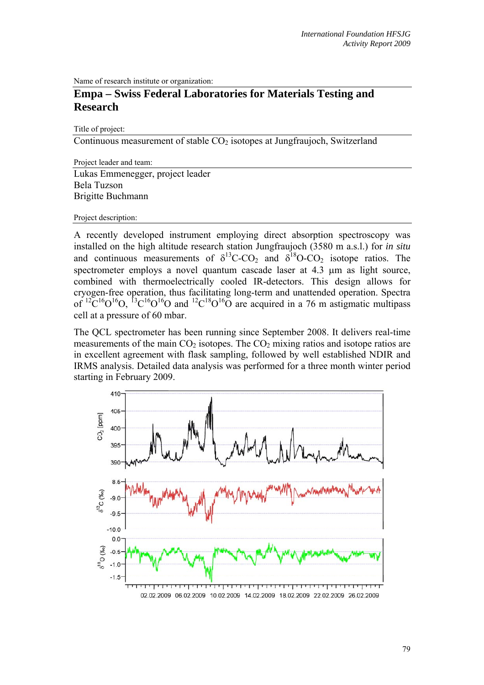Name of research institute or organization:

## **Empa – Swiss Federal Laboratories for Materials Testing and Research**

Title of project:

Continuous measurement of stable  $CO<sub>2</sub>$  isotopes at Jungfraujoch, Switzerland

Project leader and team: Lukas Emmenegger, project leader Bela Tuzson Brigitte Buchmann

Project description:

A recently developed instrument employing direct absorption spectroscopy was installed on the high altitude research station Jungfraujoch (3580 m a.s.l.) for *in situ* and continuous measurements of  $\delta^{13}$ C-CO<sub>2</sub> and  $\delta^{18}$ O-CO<sub>2</sub> isotope ratios. The spectrometer employs a novel quantum cascade laser at 4.3  $\mu$ m as light source, combined with thermoelectrically cooled IR-detectors. This design allows for cryogen-free operation, thus facilitating long-term and unattended operation. Spectra of  ${}^{12}C^{16}O^{16}O$ ,  ${}^{13}C^{16}O^{16}O$  and  ${}^{12}C^{18}O^{16}O$  are acquired in a 76 m astigmatic multipass cell at a pressure of 60 mbar.

The QCL spectrometer has been running since September 2008. It delivers real-time measurements of the main  $CO<sub>2</sub>$  isotopes. The  $CO<sub>2</sub>$  mixing ratios and isotope ratios are in excellent agreement with flask sampling, followed by well established NDIR and IRMS analysis. Detailed data analysis was performed for a three month winter period starting in February 2009.

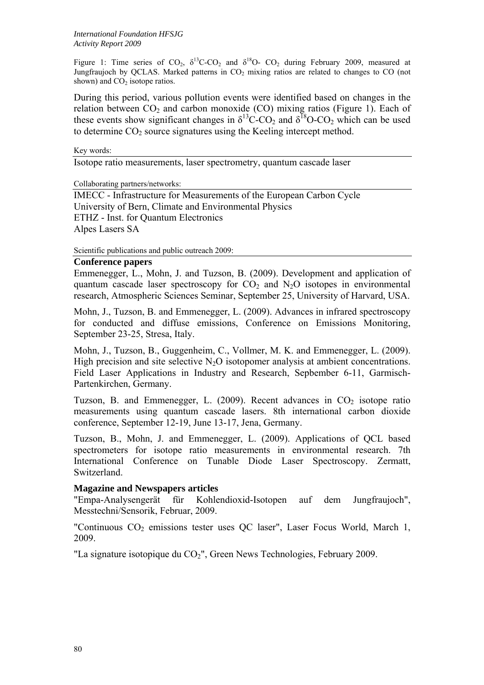Figure 1: Time series of  $CO_2$ ,  $\delta^{13}C$ - $CO_2$  and  $\delta^{18}O$ -  $CO_2$  during February 2009, measured at Jungfraujoch by QCLAS. Marked patterns in  $CO<sub>2</sub>$  mixing ratios are related to changes to CO (not shown) and  $CO<sub>2</sub>$  isotope ratios.

During this period, various pollution events were identified based on changes in the relation between  $CO<sub>2</sub>$  and carbon monoxide (CO) mixing ratios (Figure 1). Each of these events show significant changes in  $\delta^{13}$ C-CO<sub>2</sub> and  $\delta^{18}$ O-CO<sub>2</sub> which can be used to determine  $CO<sub>2</sub>$  source signatures using the Keeling intercept method.

## Key words:

Isotope ratio measurements, laser spectrometry, quantum cascade laser

Collaborating partners/networks:

IMECC - Infrastructure for Measurements of the European Carbon Cycle University of Bern, Climate and Environmental Physics ETHZ - Inst. for Quantum Electronics Alpes Lasers SA

Scientific publications and public outreach 2009:

## **Conference papers**

Emmenegger, L., Mohn, J. and Tuzson, B. (2009). Development and application of quantum cascade laser spectroscopy for  $CO<sub>2</sub>$  and  $N<sub>2</sub>O$  isotopes in environmental research, Atmospheric Sciences Seminar, September 25, University of Harvard, USA.

Mohn, J., Tuzson, B. and Emmenegger, L. (2009). Advances in infrared spectroscopy for conducted and diffuse emissions, Conference on Emissions Monitoring, September 23-25, Stresa, Italy.

Mohn, J., Tuzson, B., Guggenheim, C., Vollmer, M. K. and Emmenegger, L. (2009). High precision and site selective  $N_2O$  isotopomer analysis at ambient concentrations. Field Laser Applications in Industry and Research, Sepbember 6-11, Garmisch-Partenkirchen, Germany.

Tuzson, B. and Emmenegger, L.  $(2009)$ . Recent advances in  $CO<sub>2</sub>$  isotope ratio measurements using quantum cascade lasers. 8th international carbon dioxide conference, September 12-19, June 13-17, Jena, Germany.

Tuzson, B., Mohn, J. and Emmenegger, L. (2009). Applications of QCL based spectrometers for isotope ratio measurements in environmental research. 7th International Conference on Tunable Diode Laser Spectroscopy. Zermatt, Switzerland.

## **Magazine and Newspapers articles**

"Empa-Analysengerät für Kohlendioxid-Isotopen auf dem Jungfraujoch", Messtechni/Sensorik, Februar, 2009.

"Continuous  $CO<sub>2</sub>$  emissions tester uses QC laser", Laser Focus World, March 1, 2009.

"La signature isotopique du  $CO<sub>2</sub>$ ", Green News Technologies, February 2009.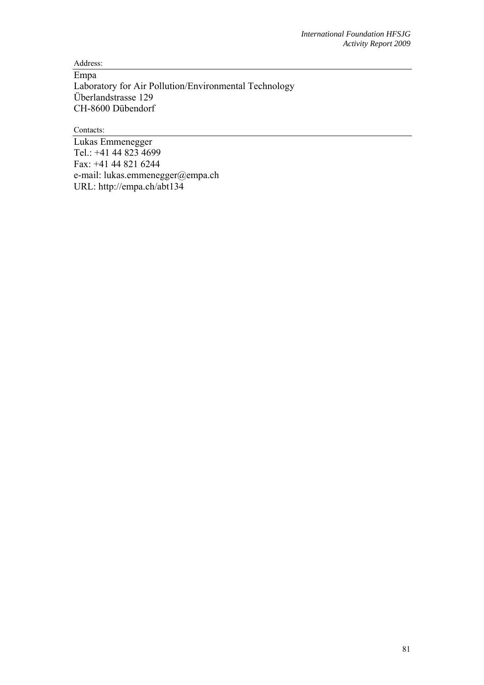Address:

Empa Laboratory for Air Pollution/Environmental Technology Überlandstrasse 129 CH-8600 Dübendorf

Contacts:

Lukas Emmenegger Tel.: +41 44 823 4699 Fax: +41 44 821 6244 e-mail: lukas.emmenegger@empa.ch URL: http://empa.ch/abt134